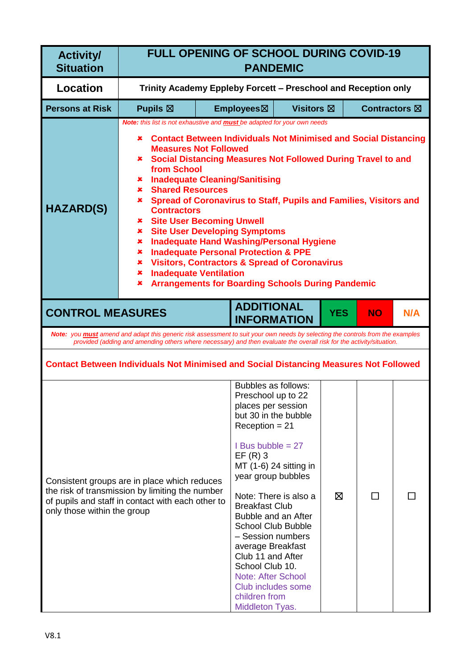| <b>Activity/</b><br><b>Situation</b> | <b>FULL OPENING OF SCHOOL DURING COVID-19</b><br><b>PANDEMIC</b>                                                                                                                                                                                                                                                                                                                                                                                                                                                                                                                                                                                                                                                                                                                                                                                                          |                                                                |                                                                                                                                                                                                                                                                                                                                                                                                                             |                                                 |            |                         |     |
|--------------------------------------|---------------------------------------------------------------------------------------------------------------------------------------------------------------------------------------------------------------------------------------------------------------------------------------------------------------------------------------------------------------------------------------------------------------------------------------------------------------------------------------------------------------------------------------------------------------------------------------------------------------------------------------------------------------------------------------------------------------------------------------------------------------------------------------------------------------------------------------------------------------------------|----------------------------------------------------------------|-----------------------------------------------------------------------------------------------------------------------------------------------------------------------------------------------------------------------------------------------------------------------------------------------------------------------------------------------------------------------------------------------------------------------------|-------------------------------------------------|------------|-------------------------|-----|
| <b>Location</b>                      |                                                                                                                                                                                                                                                                                                                                                                                                                                                                                                                                                                                                                                                                                                                                                                                                                                                                           | Trinity Academy Eppleby Forcett - Preschool and Reception only |                                                                                                                                                                                                                                                                                                                                                                                                                             |                                                 |            |                         |     |
| <b>Persons at Risk</b>               | Pupils $\boxtimes$                                                                                                                                                                                                                                                                                                                                                                                                                                                                                                                                                                                                                                                                                                                                                                                                                                                        |                                                                | Employees⊠                                                                                                                                                                                                                                                                                                                                                                                                                  | <b>Visitors</b> ⊠                               |            | Contractors $\boxtimes$ |     |
| <b>HAZARD(S)</b>                     | Note: this list is not exhaustive and <b>must</b> be adapted for your own needs<br><b>Contact Between Individuals Not Minimised and Social Distancing</b><br>x<br><b>Measures Not Followed</b><br><b>* Social Distancing Measures Not Followed During Travel to and</b><br>from School<br><b>Inadequate Cleaning/Sanitising</b><br>$\mathbf x$<br><b>Shared Resources</b><br>$\mathbf x$ .<br>Spread of Coronavirus to Staff, Pupils and Families, Visitors and<br>×.<br><b>Contractors</b><br><b>* Site User Becoming Unwell</b><br><b>Site User Developing Symptoms</b><br>×.<br><b>Inadequate Hand Washing/Personal Hygiene</b><br>×<br><b>Inadequate Personal Protection &amp; PPE</b><br>×.<br><b>Visitors, Contractors &amp; Spread of Coronavirus</b><br>×.<br><b>Inadequate Ventilation</b><br>×<br><b>Arrangements for Boarding Schools During Pandemic</b><br>× |                                                                |                                                                                                                                                                                                                                                                                                                                                                                                                             |                                                 |            |                         |     |
| <b>CONTROL MEASURES</b>              |                                                                                                                                                                                                                                                                                                                                                                                                                                                                                                                                                                                                                                                                                                                                                                                                                                                                           |                                                                | <b>ADDITIONAL</b><br><b>INFORMATION</b>                                                                                                                                                                                                                                                                                                                                                                                     |                                                 | <b>YES</b> | <b>NO</b>               | N/A |
|                                      | Note: you must amend and adapt this generic risk assessment to suit your own needs by selecting the controls from the examples<br>provided (adding and amending others where necessary) and then evaluate the overall risk for the activity/situation.                                                                                                                                                                                                                                                                                                                                                                                                                                                                                                                                                                                                                    |                                                                |                                                                                                                                                                                                                                                                                                                                                                                                                             |                                                 |            |                         |     |
|                                      | <b>Contact Between Individuals Not Minimised and Social Distancing Measures Not Followed</b>                                                                                                                                                                                                                                                                                                                                                                                                                                                                                                                                                                                                                                                                                                                                                                              |                                                                |                                                                                                                                                                                                                                                                                                                                                                                                                             |                                                 |            |                         |     |
| only those within the group          | Consistent groups are in place which reduces<br>the risk of transmission by limiting the number<br>of pupils and staff in contact with each other to                                                                                                                                                                                                                                                                                                                                                                                                                                                                                                                                                                                                                                                                                                                      |                                                                | Bubbles as follows:<br>Preschool up to 22<br>places per session<br>but 30 in the bubble<br>$Reception = 21$<br>I Bus bubble $= 27$<br>$EF(R)$ 3<br>year group bubbles<br><b>Breakfast Club</b><br>Bubble and an After<br><b>School Club Bubble</b><br>- Session numbers<br>average Breakfast<br>Club 11 and After<br>School Club 10.<br><b>Note: After School</b><br>Club includes some<br>children from<br>Middleton Tyas. | MT (1-6) 24 sitting in<br>Note: There is also a | ⊠          | $\Box$                  |     |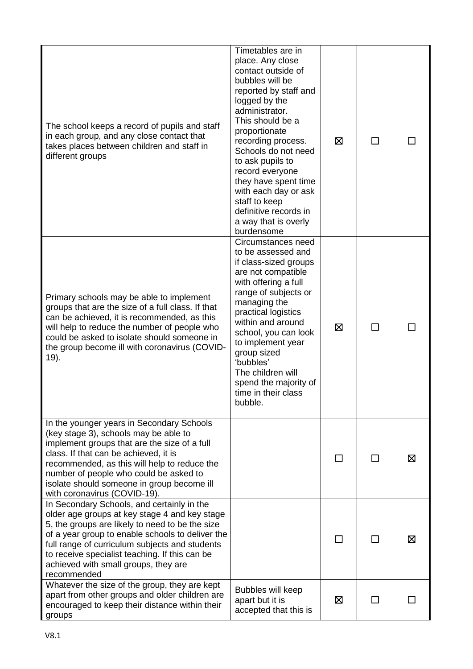| The school keeps a record of pupils and staff<br>in each group, and any close contact that<br>takes places between children and staff in<br>different groups                                                                                                                                                                                                  | Timetables are in<br>place. Any close<br>contact outside of<br>bubbles will be<br>reported by staff and<br>logged by the<br>administrator.<br>This should be a<br>proportionate<br>recording process.<br>Schools do not need<br>to ask pupils to<br>record everyone<br>they have spent time<br>with each day or ask<br>staff to keep<br>definitive records in<br>a way that is overly<br>burdensome | ⊠ | ΙI |   |
|---------------------------------------------------------------------------------------------------------------------------------------------------------------------------------------------------------------------------------------------------------------------------------------------------------------------------------------------------------------|-----------------------------------------------------------------------------------------------------------------------------------------------------------------------------------------------------------------------------------------------------------------------------------------------------------------------------------------------------------------------------------------------------|---|----|---|
| Primary schools may be able to implement<br>groups that are the size of a full class. If that<br>can be achieved, it is recommended, as this<br>will help to reduce the number of people who<br>could be asked to isolate should someone in<br>the group become ill with coronavirus (COVID-<br>19).                                                          | Circumstances need<br>to be assessed and<br>if class-sized groups<br>are not compatible<br>with offering a full<br>range of subjects or<br>managing the<br>practical logistics<br>within and around<br>school, you can look<br>to implement year<br>group sized<br>'bubbles'<br>The children will<br>spend the majority of<br>time in their class<br>bubble.                                        | ⊠ | П  |   |
| In the younger years in Secondary Schools<br>(key stage 3), schools may be able to<br>implement groups that are the size of a full<br>class. If that can be achieved, it is<br>recommended, as this will help to reduce the<br>number of people who could be asked to<br>isolate should someone in group become ill<br>with coronavirus (COVID-19).           |                                                                                                                                                                                                                                                                                                                                                                                                     |   |    | ⊠ |
| In Secondary Schools, and certainly in the<br>older age groups at key stage 4 and key stage<br>5, the groups are likely to need to be the size<br>of a year group to enable schools to deliver the<br>full range of curriculum subjects and students<br>to receive specialist teaching. If this can be<br>achieved with small groups, they are<br>recommended |                                                                                                                                                                                                                                                                                                                                                                                                     |   |    | ⊠ |
| Whatever the size of the group, they are kept<br>apart from other groups and older children are<br>encouraged to keep their distance within their<br>groups                                                                                                                                                                                                   | Bubbles will keep<br>apart but it is<br>accepted that this is                                                                                                                                                                                                                                                                                                                                       | ⊠ |    |   |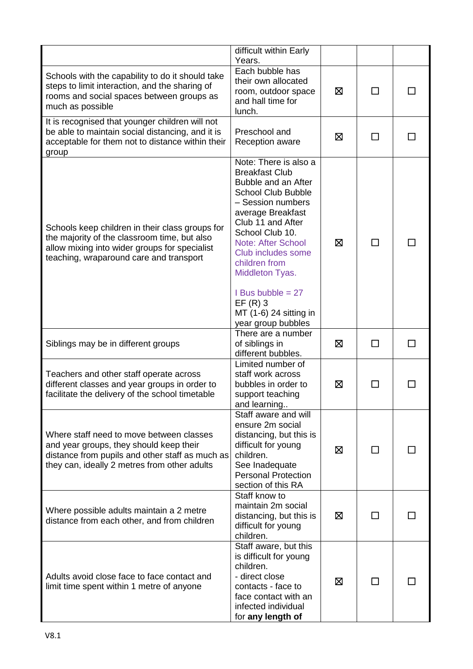|                                                                                                                                                                                             | difficult within Early<br>Years.                                                                                                                                                                                                                                                                                                                         |   |        |    |
|---------------------------------------------------------------------------------------------------------------------------------------------------------------------------------------------|----------------------------------------------------------------------------------------------------------------------------------------------------------------------------------------------------------------------------------------------------------------------------------------------------------------------------------------------------------|---|--------|----|
| Schools with the capability to do it should take<br>steps to limit interaction, and the sharing of<br>rooms and social spaces between groups as<br>much as possible                         | Each bubble has<br>their own allocated<br>room, outdoor space<br>and hall time for<br>lunch.                                                                                                                                                                                                                                                             | 区 | П      |    |
| It is recognised that younger children will not<br>be able to maintain social distancing, and it is<br>acceptable for them not to distance within their<br>group                            | Preschool and<br>Reception aware                                                                                                                                                                                                                                                                                                                         | ⊠ | $\Box$ | ΙI |
| Schools keep children in their class groups for<br>the majority of the classroom time, but also<br>allow mixing into wider groups for specialist<br>teaching, wraparound care and transport | Note: There is also a<br><b>Breakfast Club</b><br>Bubble and an After<br><b>School Club Bubble</b><br>- Session numbers<br>average Breakfast<br>Club 11 and After<br>School Club 10.<br>Note: After School<br>Club includes some<br>children from<br>Middleton Tyas.<br>I Bus bubble $= 27$<br>$EF(R)$ 3<br>MT (1-6) 24 sitting in<br>year group bubbles | ⊠ | П      |    |
| Siblings may be in different groups                                                                                                                                                         | There are a number<br>of siblings in<br>different bubbles.                                                                                                                                                                                                                                                                                               | 区 | П      |    |
| Teachers and other staff operate across<br>different classes and year groups in order to<br>facilitate the delivery of the school timetable                                                 | Limited number of<br>staff work across<br>bubbles in order to<br>support teaching<br>and learning                                                                                                                                                                                                                                                        | ⊠ | □      |    |
| Where staff need to move between classes<br>and year groups, they should keep their<br>distance from pupils and other staff as much as<br>they can, ideally 2 metres from other adults      | Staff aware and will<br>ensure 2m social<br>distancing, but this is<br>difficult for young<br>children.<br>See Inadequate<br><b>Personal Protection</b><br>section of this RA                                                                                                                                                                            | ⊠ |        |    |
| Where possible adults maintain a 2 metre<br>distance from each other, and from children                                                                                                     | Staff know to<br>maintain 2m social<br>distancing, but this is<br>difficult for young<br>children.                                                                                                                                                                                                                                                       | ⊠ |        |    |
| Adults avoid close face to face contact and<br>limit time spent within 1 metre of anyone                                                                                                    | Staff aware, but this<br>is difficult for young<br>children.<br>- direct close<br>contacts - face to<br>face contact with an<br>infected individual<br>for any length of                                                                                                                                                                                 | ⊠ |        |    |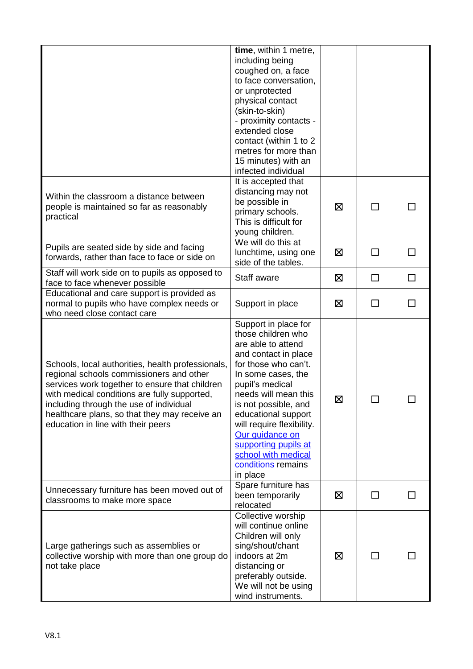|                                                                                                                                                                                                                                                                                                                                   | time, within 1 metre,<br>including being<br>coughed on, a face<br>to face conversation,<br>or unprotected<br>physical contact<br>(skin-to-skin)<br>- proximity contacts -<br>extended close<br>contact (within 1 to 2<br>metres for more than<br>15 minutes) with an<br>infected individual                                                                       |   |              |        |
|-----------------------------------------------------------------------------------------------------------------------------------------------------------------------------------------------------------------------------------------------------------------------------------------------------------------------------------|-------------------------------------------------------------------------------------------------------------------------------------------------------------------------------------------------------------------------------------------------------------------------------------------------------------------------------------------------------------------|---|--------------|--------|
| Within the classroom a distance between<br>people is maintained so far as reasonably<br>practical                                                                                                                                                                                                                                 | It is accepted that<br>distancing may not<br>be possible in<br>primary schools.<br>This is difficult for<br>young children.                                                                                                                                                                                                                                       | ⊠ | $\mathsf{L}$ |        |
| Pupils are seated side by side and facing<br>forwards, rather than face to face or side on                                                                                                                                                                                                                                        | We will do this at<br>lunchtime, using one<br>side of the tables.                                                                                                                                                                                                                                                                                                 | ⊠ | П            | П      |
| Staff will work side on to pupils as opposed to<br>face to face whenever possible                                                                                                                                                                                                                                                 | Staff aware                                                                                                                                                                                                                                                                                                                                                       | ⊠ | $\Box$       | $\Box$ |
| Educational and care support is provided as<br>normal to pupils who have complex needs or<br>who need close contact care                                                                                                                                                                                                          | Support in place                                                                                                                                                                                                                                                                                                                                                  | ⊠ | $\Box$       | □      |
| Schools, local authorities, health professionals,<br>regional schools commissioners and other<br>services work together to ensure that children<br>with medical conditions are fully supported,<br>including through the use of individual<br>healthcare plans, so that they may receive an<br>education in line with their peers | Support in place for<br>those children who<br>are able to attend<br>and contact in place<br>for those who can't.<br>In some cases, the<br>pupil's medical<br>needs will mean this<br>is not possible, and<br>educational support<br>will require flexibility.<br>Our guidance on<br>supporting pupils at<br>school with medical<br>conditions remains<br>in place | 区 | $\Box$       |        |
| Unnecessary furniture has been moved out of<br>classrooms to make more space                                                                                                                                                                                                                                                      | Spare furniture has<br>been temporarily<br>relocated                                                                                                                                                                                                                                                                                                              | ⊠ | П            |        |
| Large gatherings such as assemblies or<br>collective worship with more than one group do<br>not take place                                                                                                                                                                                                                        | Collective worship<br>will continue online<br>Children will only<br>sing/shout/chant<br>indoors at 2m<br>distancing or<br>preferably outside.<br>We will not be using<br>wind instruments.                                                                                                                                                                        | ⊠ | $\mathsf{L}$ |        |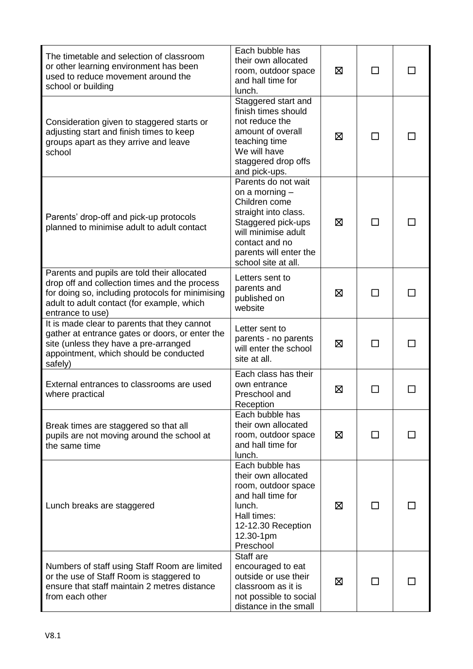| The timetable and selection of classroom<br>or other learning environment has been<br>used to reduce movement around the<br>school or building                                                                     | Each bubble has<br>their own allocated<br>room, outdoor space<br>and hall time for<br>lunch.                                                                                                     | ⊠ | ΙI     |  |
|--------------------------------------------------------------------------------------------------------------------------------------------------------------------------------------------------------------------|--------------------------------------------------------------------------------------------------------------------------------------------------------------------------------------------------|---|--------|--|
| Consideration given to staggered starts or<br>adjusting start and finish times to keep<br>groups apart as they arrive and leave<br>school                                                                          | Staggered start and<br>finish times should<br>not reduce the<br>amount of overall<br>teaching time<br>We will have<br>staggered drop offs<br>and pick-ups.                                       | ⊠ | П      |  |
| Parents' drop-off and pick-up protocols<br>planned to minimise adult to adult contact                                                                                                                              | Parents do not wait<br>on a morning $-$<br>Children come<br>straight into class.<br>Staggered pick-ups<br>will minimise adult<br>contact and no<br>parents will enter the<br>school site at all. | 区 | П      |  |
| Parents and pupils are told their allocated<br>drop off and collection times and the process<br>for doing so, including protocols for minimising<br>adult to adult contact (for example, which<br>entrance to use) | Letters sent to<br>parents and<br>published on<br>website                                                                                                                                        | ⊠ | ΙI     |  |
| It is made clear to parents that they cannot<br>gather at entrance gates or doors, or enter the<br>site (unless they have a pre-arranged<br>appointment, which should be conducted<br>safely)                      | Letter sent to<br>parents - no parents<br>will enter the school<br>site at all.                                                                                                                  | 区 | $\Box$ |  |
| External entrances to classrooms are used<br>where practical                                                                                                                                                       | Each class has their<br>own entrance<br>Preschool and<br>Reception                                                                                                                               | ⊠ |        |  |
| Break times are staggered so that all<br>pupils are not moving around the school at<br>the same time                                                                                                               | Each bubble has<br>their own allocated<br>room, outdoor space<br>and hall time for<br>lunch.                                                                                                     | ⊠ | ΙI     |  |
| Lunch breaks are staggered                                                                                                                                                                                         | Each bubble has<br>their own allocated<br>room, outdoor space<br>and hall time for<br>lunch.<br>Hall times:<br>12-12.30 Reception<br>12.30-1pm<br>Preschool                                      | ⊠ | П      |  |
| Numbers of staff using Staff Room are limited<br>or the use of Staff Room is staggered to<br>ensure that staff maintain 2 metres distance<br>from each other                                                       | Staff are<br>encouraged to eat<br>outside or use their<br>classroom as it is<br>not possible to social<br>distance in the small                                                                  | 区 | ΙI     |  |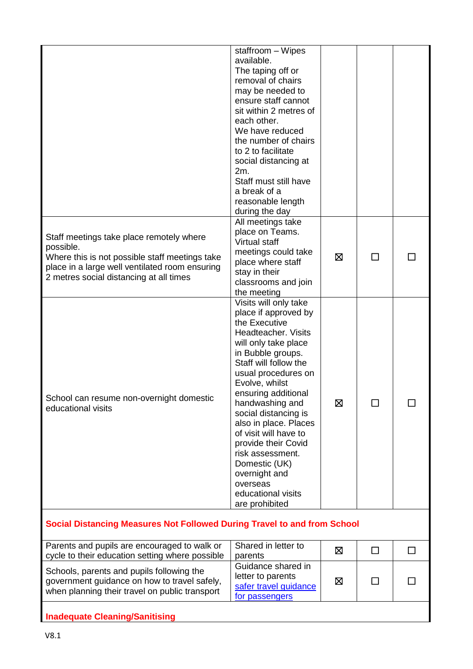|                                                                                                                                                                                                      | staffroom - Wipes<br>available.<br>The taping off or<br>removal of chairs<br>may be needed to<br>ensure staff cannot<br>sit within 2 metres of<br>each other.<br>We have reduced<br>the number of chairs<br>to 2 to facilitate<br>social distancing at<br>2m.<br>Staff must still have<br>a break of a<br>reasonable length<br>during the day                                                                                                             |   |              |        |
|------------------------------------------------------------------------------------------------------------------------------------------------------------------------------------------------------|-----------------------------------------------------------------------------------------------------------------------------------------------------------------------------------------------------------------------------------------------------------------------------------------------------------------------------------------------------------------------------------------------------------------------------------------------------------|---|--------------|--------|
| Staff meetings take place remotely where<br>possible.<br>Where this is not possible staff meetings take<br>place in a large well ventilated room ensuring<br>2 metres social distancing at all times | All meetings take<br>place on Teams.<br>Virtual staff<br>meetings could take<br>place where staff<br>stay in their<br>classrooms and join<br>the meeting                                                                                                                                                                                                                                                                                                  | ⊠ |              |        |
| School can resume non-overnight domestic<br>educational visits                                                                                                                                       | Visits will only take<br>place if approved by<br>the Executive<br>Headteacher. Visits<br>will only take place<br>in Bubble groups.<br>Staff will follow the<br>usual procedures on<br>Evolve, whilst<br>ensuring additional<br>handwashing and<br>social distancing is<br>also in place. Places<br>of visit will have to<br>provide their Covid<br>risk assessment.<br>Domestic (UK)<br>overnight and<br>overseas<br>educational visits<br>are prohibited | 区 | $\mathbf{L}$ |        |
| Social Distancing Measures Not Followed During Travel to and from School                                                                                                                             |                                                                                                                                                                                                                                                                                                                                                                                                                                                           |   |              |        |
| Parents and pupils are encouraged to walk or<br>cycle to their education setting where possible                                                                                                      | Shared in letter to<br>parents                                                                                                                                                                                                                                                                                                                                                                                                                            | 区 | $\Box$       | $\Box$ |
| Schools, parents and pupils following the<br>government guidance on how to travel safely,<br>when planning their travel on public transport                                                          | Guidance shared in<br>letter to parents<br>safer travel guidance<br>for passengers                                                                                                                                                                                                                                                                                                                                                                        | ⊠ | ΙI           |        |
| <b>Inadequate Cleaning/Sanitising</b>                                                                                                                                                                |                                                                                                                                                                                                                                                                                                                                                                                                                                                           |   |              |        |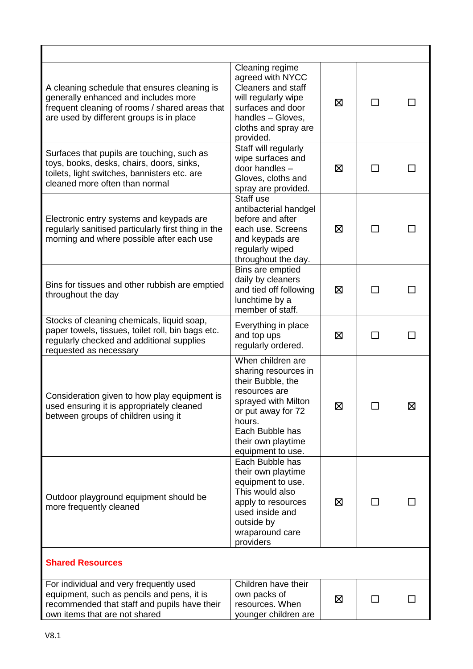| A cleaning schedule that ensures cleaning is<br>generally enhanced and includes more<br>frequent cleaning of rooms / shared areas that<br>are used by different groups is in place | Cleaning regime<br>agreed with NYCC<br><b>Cleaners and staff</b><br>will regularly wipe<br>surfaces and door<br>handles - Gloves,<br>cloths and spray are<br>provided.                               | ⊠ | ⊓            |   |
|------------------------------------------------------------------------------------------------------------------------------------------------------------------------------------|------------------------------------------------------------------------------------------------------------------------------------------------------------------------------------------------------|---|--------------|---|
| Surfaces that pupils are touching, such as<br>toys, books, desks, chairs, doors, sinks,<br>toilets, light switches, bannisters etc. are<br>cleaned more often than normal          | Staff will regularly<br>wipe surfaces and<br>door handles -<br>Gloves, cloths and<br>spray are provided.                                                                                             | 区 | ΙI           |   |
| Electronic entry systems and keypads are<br>regularly sanitised particularly first thing in the<br>morning and where possible after each use                                       | Staff use<br>antibacterial handgel<br>before and after<br>each use. Screens<br>and keypads are<br>regularly wiped<br>throughout the day.                                                             | ⊠ | П            |   |
| Bins for tissues and other rubbish are emptied<br>throughout the day                                                                                                               | Bins are emptied<br>daily by cleaners<br>and tied off following<br>lunchtime by a<br>member of staff.                                                                                                | ⊠ | $\mathbf{I}$ |   |
| Stocks of cleaning chemicals, liquid soap,<br>paper towels, tissues, toilet roll, bin bags etc.<br>regularly checked and additional supplies<br>requested as necessary             | Everything in place<br>and top ups<br>regularly ordered.                                                                                                                                             | 区 | $\mathbf{I}$ |   |
| Consideration given to how play equipment is<br>used ensuring it is appropriately cleaned<br>between groups of children using it                                                   | When children are<br>sharing resources in<br>their Bubble, the<br>resources are<br>sprayed with Milton<br>or put away for 72<br>hours.<br>Each Bubble has<br>their own playtime<br>equipment to use. | 区 |              | 区 |
| Outdoor playground equipment should be<br>more frequently cleaned                                                                                                                  | Each Bubble has<br>their own playtime<br>equipment to use.<br>This would also<br>apply to resources<br>used inside and<br>outside by<br>wraparound care<br>providers                                 | ⊠ | $\Box$       |   |
| <b>Shared Resources</b>                                                                                                                                                            |                                                                                                                                                                                                      |   |              |   |
| For individual and very frequently used<br>equipment, such as pencils and pens, it is<br>recommended that staff and pupils have their<br>own items that are not shared             | Children have their<br>own packs of<br>resources. When<br>younger children are                                                                                                                       | ⊠ | П            |   |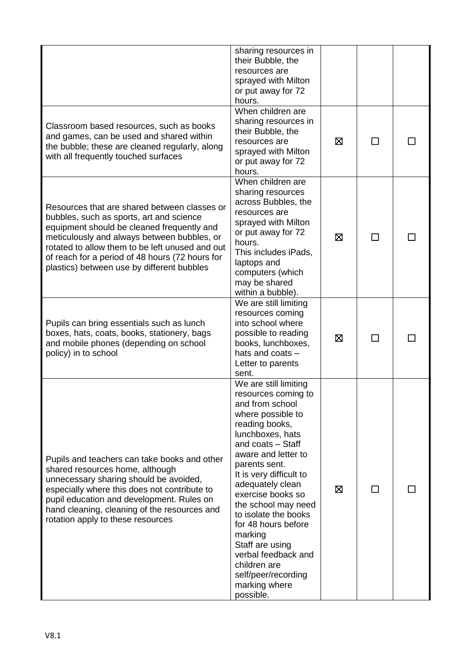|                                                                                                                                                                                                                                                                                                                                           | sharing resources in<br>their Bubble, the<br>resources are<br>sprayed with Milton<br>or put away for 72<br>hours.                                                                                                                                                                                                                                                                                                                                           |   |            |  |
|-------------------------------------------------------------------------------------------------------------------------------------------------------------------------------------------------------------------------------------------------------------------------------------------------------------------------------------------|-------------------------------------------------------------------------------------------------------------------------------------------------------------------------------------------------------------------------------------------------------------------------------------------------------------------------------------------------------------------------------------------------------------------------------------------------------------|---|------------|--|
| Classroom based resources, such as books<br>and games, can be used and shared within<br>the bubble; these are cleaned regularly, along<br>with all frequently touched surfaces                                                                                                                                                            | When children are<br>sharing resources in<br>their Bubble, the<br>resources are<br>sprayed with Milton<br>or put away for 72<br>hours.                                                                                                                                                                                                                                                                                                                      | ⊠ | ΙI         |  |
| Resources that are shared between classes or<br>bubbles, such as sports, art and science<br>equipment should be cleaned frequently and<br>meticulously and always between bubbles, or<br>rotated to allow them to be left unused and out<br>of reach for a period of 48 hours (72 hours for<br>plastics) between use by different bubbles | When children are<br>sharing resources<br>across Bubbles, the<br>resources are<br>sprayed with Milton<br>or put away for 72<br>hours.<br>This includes iPads,<br>laptops and<br>computers (which<br>may be shared<br>within a bubble).                                                                                                                                                                                                                      | ⊠ | ΙI         |  |
| Pupils can bring essentials such as lunch<br>boxes, hats, coats, books, stationery, bags<br>and mobile phones (depending on school<br>policy) in to school                                                                                                                                                                                | We are still limiting<br>resources coming<br>into school where<br>possible to reading<br>books, lunchboxes,<br>hats and coats -<br>Letter to parents<br>sent.                                                                                                                                                                                                                                                                                               | ⊠ | <b>COL</b> |  |
| Pupils and teachers can take books and other<br>shared resources home, although<br>unnecessary sharing should be avoided,<br>especially where this does not contribute to<br>pupil education and development. Rules on<br>hand cleaning, cleaning of the resources and<br>rotation apply to these resources                               | We are still limiting<br>resources coming to<br>and from school<br>where possible to<br>reading books,<br>lunchboxes, hats<br>and coats - Staff<br>aware and letter to<br>parents sent.<br>It is very difficult to<br>adequately clean<br>exercise books so<br>the school may need<br>to isolate the books<br>for 48 hours before<br>marking<br>Staff are using<br>verbal feedback and<br>children are<br>self/peer/recording<br>marking where<br>possible. | ⊠ | ΙI         |  |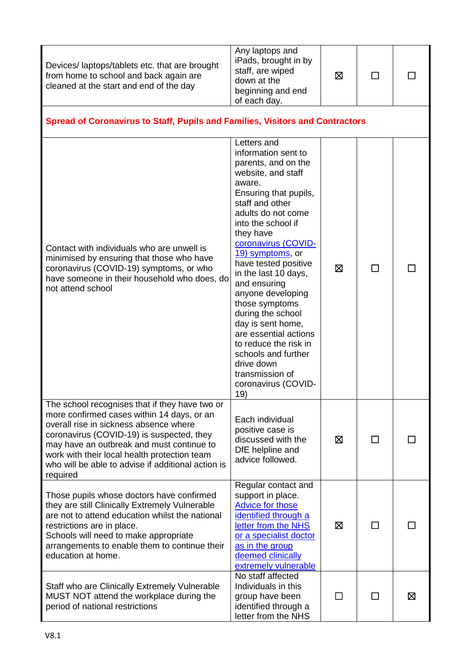| Devices/laptops/tablets etc. that are brought<br>from home to school and back again are<br>cleaned at the start and end of the day                                                                                                                                                               | Any laptops and<br>iPads, brought in by<br>staff, are wiped<br>down at the<br>beginning and end<br>of each day.                                                                                                                                                                                                                                                                                                                                                                                                                    | ⊠ |    |   |  |
|--------------------------------------------------------------------------------------------------------------------------------------------------------------------------------------------------------------------------------------------------------------------------------------------------|------------------------------------------------------------------------------------------------------------------------------------------------------------------------------------------------------------------------------------------------------------------------------------------------------------------------------------------------------------------------------------------------------------------------------------------------------------------------------------------------------------------------------------|---|----|---|--|
| Spread of Coronavirus to Staff, Pupils and Families, Visitors and Contractors                                                                                                                                                                                                                    |                                                                                                                                                                                                                                                                                                                                                                                                                                                                                                                                    |   |    |   |  |
| Contact with individuals who are unwell is<br>minimised by ensuring that those who have<br>coronavirus (COVID-19) symptoms, or who<br>have someone in their household who does, do<br>not attend school<br>The school recognises that if they have two or                                        | Letters and<br>information sent to<br>parents, and on the<br>website, and staff<br>aware.<br>Ensuring that pupils,<br>staff and other<br>adults do not come<br>into the school if<br>they have<br>coronavirus (COVID-<br>19) symptoms, or<br>have tested positive<br>in the last 10 days,<br>and ensuring<br>anyone developing<br>those symptoms<br>during the school<br>day is sent home,<br>are essential actions<br>to reduce the risk in<br>schools and further<br>drive down<br>transmission of<br>coronavirus (COVID-<br>19) | ⊠ | ΙI |   |  |
| more confirmed cases within 14 days, or an<br>overall rise in sickness absence where<br>coronavirus (COVID-19) is suspected, they<br>may have an outbreak and must continue to<br>work with their local health protection team<br>who will be able to advise if additional action is<br>required | Each individual<br>positive case is<br>discussed with the<br>DfE helpline and<br>advice followed.                                                                                                                                                                                                                                                                                                                                                                                                                                  | ⊠ | ΙI |   |  |
| Those pupils whose doctors have confirmed<br>they are still Clinically Extremely Vulnerable<br>are not to attend education whilst the national<br>restrictions are in place.<br>Schools will need to make appropriate<br>arrangements to enable them to continue their<br>education at home.     | Regular contact and<br>support in place.<br><b>Advice for those</b><br>identified through a<br>letter from the NHS<br>or a specialist doctor<br>as in the group<br>deemed clinically<br>extremely vulnerable                                                                                                                                                                                                                                                                                                                       | 区 | □  |   |  |
| Staff who are Clinically Extremely Vulnerable<br>MUST NOT attend the workplace during the<br>period of national restrictions                                                                                                                                                                     | No staff affected<br>Individuals in this<br>group have been<br>identified through a<br>letter from the NHS                                                                                                                                                                                                                                                                                                                                                                                                                         |   |    | ⊠ |  |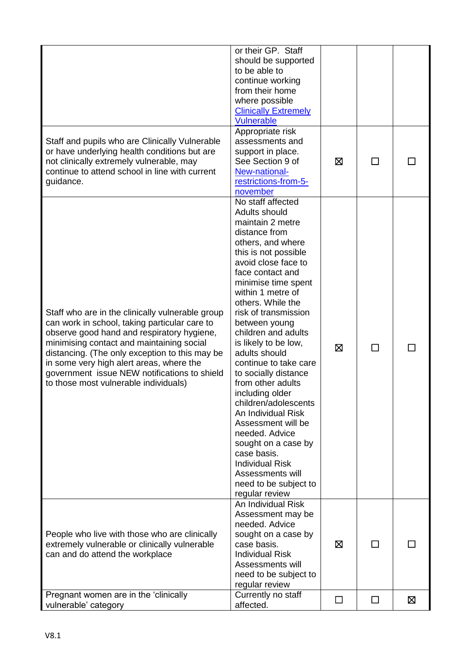| Staff and pupils who are Clinically Vulnerable<br>or have underlying health conditions but are<br>not clinically extremely vulnerable, may<br>continue to attend school in line with current<br>guidance.                                                                                                                                                                           | or their GP. Staff<br>should be supported<br>to be able to<br>continue working<br>from their home<br>where possible<br><b>Clinically Extremely</b><br><b>Vulnerable</b><br>Appropriate risk<br>assessments and<br>support in place.<br>See Section 9 of<br>New-national-<br>restrictions-from-5-                                                                                                                                                                                                                                                                                                                                                                    | ⊠      |   |   |
|-------------------------------------------------------------------------------------------------------------------------------------------------------------------------------------------------------------------------------------------------------------------------------------------------------------------------------------------------------------------------------------|---------------------------------------------------------------------------------------------------------------------------------------------------------------------------------------------------------------------------------------------------------------------------------------------------------------------------------------------------------------------------------------------------------------------------------------------------------------------------------------------------------------------------------------------------------------------------------------------------------------------------------------------------------------------|--------|---|---|
| Staff who are in the clinically vulnerable group<br>can work in school, taking particular care to<br>observe good hand and respiratory hygiene,<br>minimising contact and maintaining social<br>distancing. (The only exception to this may be<br>in some very high alert areas, where the<br>government issue NEW notifications to shield<br>to those most vulnerable individuals) | november<br>No staff affected<br>Adults should<br>maintain 2 metre<br>distance from<br>others, and where<br>this is not possible<br>avoid close face to<br>face contact and<br>minimise time spent<br>within 1 metre of<br>others. While the<br>risk of transmission<br>between young<br>children and adults<br>is likely to be low,<br>adults should<br>continue to take care<br>to socially distance<br>from other adults<br>including older<br>children/adolescents<br>An Individual Risk<br>Assessment will be<br>needed. Advice<br>sought on a case by<br>case basis.<br><b>Individual Risk</b><br>Assessments will<br>need to be subject to<br>regular review | ⊠      |   |   |
| People who live with those who are clinically<br>extremely vulnerable or clinically vulnerable<br>can and do attend the workplace                                                                                                                                                                                                                                                   | An Individual Risk<br>Assessment may be<br>needed. Advice<br>sought on a case by<br>case basis.<br><b>Individual Risk</b><br>Assessments will<br>need to be subject to<br>regular review                                                                                                                                                                                                                                                                                                                                                                                                                                                                            | ⊠      |   |   |
| Pregnant women are in the 'clinically<br>vulnerable' category                                                                                                                                                                                                                                                                                                                       | Currently no staff<br>affected.                                                                                                                                                                                                                                                                                                                                                                                                                                                                                                                                                                                                                                     | $\Box$ | □ | ⊠ |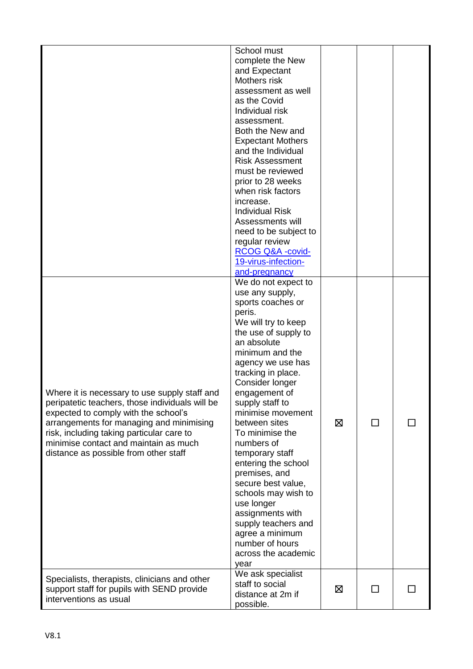|                                                                                                                                                                                                                                                                                                                     | School must<br>complete the New<br>and Expectant<br>Mothers risk<br>assessment as well<br>as the Covid<br>Individual risk<br>assessment.<br>Both the New and<br><b>Expectant Mothers</b><br>and the Individual<br><b>Risk Assessment</b><br>must be reviewed<br>prior to 28 weeks<br>when risk factors<br>increase.<br><b>Individual Risk</b><br>Assessments will<br>need to be subject to<br>regular review<br>RCOG Q&A -covid-<br>19-virus-infection-<br>and-pregnancy                                                                                              |   |    |  |
|---------------------------------------------------------------------------------------------------------------------------------------------------------------------------------------------------------------------------------------------------------------------------------------------------------------------|-----------------------------------------------------------------------------------------------------------------------------------------------------------------------------------------------------------------------------------------------------------------------------------------------------------------------------------------------------------------------------------------------------------------------------------------------------------------------------------------------------------------------------------------------------------------------|---|----|--|
| Where it is necessary to use supply staff and<br>peripatetic teachers, those individuals will be<br>expected to comply with the school's<br>arrangements for managing and minimising<br>risk, including taking particular care to<br>minimise contact and maintain as much<br>distance as possible from other staff | We do not expect to<br>use any supply,<br>sports coaches or<br>peris.<br>We will try to keep<br>the use of supply to<br>an absolute<br>minimum and the<br>agency we use has<br>tracking in place.<br>Consider longer<br>engagement of<br>supply staff to<br>minimise movement<br>between sites<br>To minimise the<br>numbers of<br>temporary staff<br>entering the school<br>premises, and<br>secure best value,<br>schools may wish to<br>use longer<br>assignments with<br>supply teachers and<br>agree a minimum<br>number of hours<br>across the academic<br>year | ⊠ | ΙI |  |
| Specialists, therapists, clinicians and other<br>support staff for pupils with SEND provide<br>interventions as usual                                                                                                                                                                                               | We ask specialist<br>staff to social<br>distance at 2m if<br>possible.                                                                                                                                                                                                                                                                                                                                                                                                                                                                                                | ⊠ | П  |  |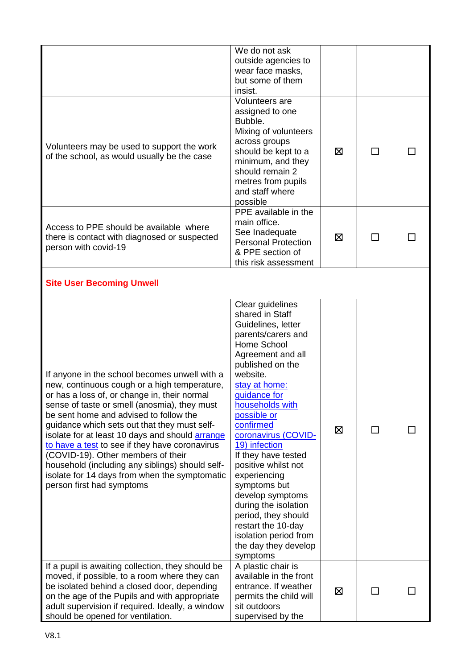|                                                                                                                                                                                                                                                                                                                                                                                                                                                                                                                                                                            | We do not ask<br>outside agencies to<br>wear face masks,<br>but some of them<br>insist.                                                                                                                                                                                                                                                                                                                                                                                                                         |   |   |  |
|----------------------------------------------------------------------------------------------------------------------------------------------------------------------------------------------------------------------------------------------------------------------------------------------------------------------------------------------------------------------------------------------------------------------------------------------------------------------------------------------------------------------------------------------------------------------------|-----------------------------------------------------------------------------------------------------------------------------------------------------------------------------------------------------------------------------------------------------------------------------------------------------------------------------------------------------------------------------------------------------------------------------------------------------------------------------------------------------------------|---|---|--|
| Volunteers may be used to support the work<br>of the school, as would usually be the case                                                                                                                                                                                                                                                                                                                                                                                                                                                                                  | Volunteers are<br>assigned to one<br>Bubble.<br>Mixing of volunteers<br>across groups<br>should be kept to a<br>minimum, and they<br>should remain 2<br>metres from pupils<br>and staff where<br>possible                                                                                                                                                                                                                                                                                                       | ⊠ | П |  |
| Access to PPE should be available where<br>there is contact with diagnosed or suspected<br>person with covid-19                                                                                                                                                                                                                                                                                                                                                                                                                                                            | PPE available in the<br>main office.<br>See Inadequate<br><b>Personal Protection</b><br>& PPE section of<br>this risk assessment                                                                                                                                                                                                                                                                                                                                                                                | ⊠ | П |  |
| <b>Site User Becoming Unwell</b>                                                                                                                                                                                                                                                                                                                                                                                                                                                                                                                                           |                                                                                                                                                                                                                                                                                                                                                                                                                                                                                                                 |   |   |  |
| If anyone in the school becomes unwell with a<br>new, continuous cough or a high temperature,<br>or has a loss of, or change in, their normal<br>sense of taste or smell (anosmia), they must<br>be sent home and advised to follow the<br>guidance which sets out that they must self-<br>isolate for at least 10 days and should <b>arrange</b><br>to have a test to see if they have coronavirus<br>(COVID-19). Other members of their<br>household (including any siblings) should self-<br>isolate for 14 days from when the symptomatic<br>person first had symptoms | Clear guidelines<br>shared in Staff<br>Guidelines, letter<br>parents/carers and<br>Home School<br>Agreement and all<br>published on the<br>website.<br>stay at home:<br>quidance for<br>households with<br>possible or<br>confirmed<br>coronavirus (COVID-<br>19) infection<br>If they have tested<br>positive whilst not<br>experiencing<br>symptoms but<br>develop symptoms<br>during the isolation<br>period, they should<br>restart the 10-day<br>isolation period from<br>the day they develop<br>symptoms | ⊠ | П |  |
| If a pupil is awaiting collection, they should be<br>moved, if possible, to a room where they can<br>be isolated behind a closed door, depending<br>on the age of the Pupils and with appropriate<br>adult supervision if required. Ideally, a window<br>should be opened for ventilation.                                                                                                                                                                                                                                                                                 | A plastic chair is<br>available in the front<br>entrance. If weather<br>permits the child will<br>sit outdoors<br>supervised by the                                                                                                                                                                                                                                                                                                                                                                             | ⊠ |   |  |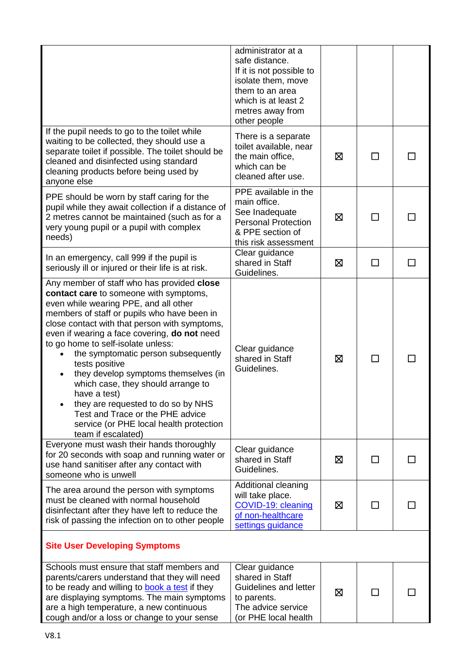|                                                                                                                                                                                                                                                                                                                                                                                                                                                                                                                                                                                                                       | administrator at a<br>safe distance.<br>If it is not possible to<br>isolate them, move<br>them to an area<br>which is at least 2<br>metres away from<br>other people |   |              |  |
|-----------------------------------------------------------------------------------------------------------------------------------------------------------------------------------------------------------------------------------------------------------------------------------------------------------------------------------------------------------------------------------------------------------------------------------------------------------------------------------------------------------------------------------------------------------------------------------------------------------------------|----------------------------------------------------------------------------------------------------------------------------------------------------------------------|---|--------------|--|
| If the pupil needs to go to the toilet while<br>waiting to be collected, they should use a<br>separate toilet if possible. The toilet should be<br>cleaned and disinfected using standard<br>cleaning products before being used by<br>anyone else                                                                                                                                                                                                                                                                                                                                                                    | There is a separate<br>toilet available, near<br>the main office,<br>which can be<br>cleaned after use.                                                              | ⊠ | П            |  |
| PPE should be worn by staff caring for the<br>pupil while they await collection if a distance of<br>2 metres cannot be maintained (such as for a<br>very young pupil or a pupil with complex<br>needs)                                                                                                                                                                                                                                                                                                                                                                                                                | PPE available in the<br>main office.<br>See Inadequate<br><b>Personal Protection</b><br>& PPE section of<br>this risk assessment                                     | ⊠ | $\mathsf{L}$ |  |
| In an emergency, call 999 if the pupil is<br>seriously ill or injured or their life is at risk.                                                                                                                                                                                                                                                                                                                                                                                                                                                                                                                       | Clear guidance<br>shared in Staff<br>Guidelines.                                                                                                                     | X | П            |  |
| Any member of staff who has provided close<br>contact care to someone with symptoms,<br>even while wearing PPE, and all other<br>members of staff or pupils who have been in<br>close contact with that person with symptoms,<br>even if wearing a face covering, do not need<br>to go home to self-isolate unless:<br>the symptomatic person subsequently<br>tests positive<br>they develop symptoms themselves (in<br>which case, they should arrange to<br>have a test)<br>they are requested to do so by NHS<br>Test and Trace or the PHE advice<br>service (or PHE local health protection<br>team if escalated) | Clear guidance<br>shared in Staff<br>Guidelines.                                                                                                                     | ⊠ | $\mathsf{L}$ |  |
| Everyone must wash their hands thoroughly<br>for 20 seconds with soap and running water or<br>use hand sanitiser after any contact with<br>someone who is unwell                                                                                                                                                                                                                                                                                                                                                                                                                                                      | Clear guidance<br>shared in Staff<br>Guidelines.                                                                                                                     | ⊠ | ΙI           |  |
| The area around the person with symptoms<br>must be cleaned with normal household<br>disinfectant after they have left to reduce the<br>risk of passing the infection on to other people                                                                                                                                                                                                                                                                                                                                                                                                                              | Additional cleaning<br>will take place.<br>COVID-19: cleaning<br>of non-healthcare<br>settings guidance                                                              | ⊠ |              |  |
| <b>Site User Developing Symptoms</b>                                                                                                                                                                                                                                                                                                                                                                                                                                                                                                                                                                                  |                                                                                                                                                                      |   |              |  |
| Schools must ensure that staff members and<br>parents/carers understand that they will need<br>to be ready and willing to <b>book a test</b> if they<br>are displaying symptoms. The main symptoms<br>are a high temperature, a new continuous<br>cough and/or a loss or change to your sense                                                                                                                                                                                                                                                                                                                         | Clear guidance<br>shared in Staff<br>Guidelines and letter<br>to parents.<br>The advice service<br>or PHE local health                                               | ⊠ |              |  |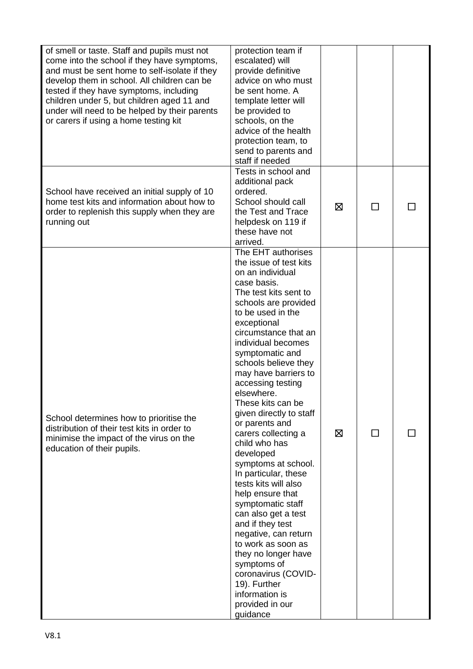| of smell or taste. Staff and pupils must not<br>come into the school if they have symptoms,<br>and must be sent home to self-isolate if they<br>develop them in school. All children can be<br>tested if they have symptoms, including<br>children under 5, but children aged 11 and<br>under will need to be helped by their parents<br>or carers if using a home testing kit | protection team if<br>escalated) will<br>provide definitive<br>advice on who must<br>be sent home. A<br>template letter will<br>be provided to<br>schools, on the<br>advice of the health<br>protection team, to<br>send to parents and<br>staff if needed<br>Tests in school and                                                                                                                                                                                                                                                                                                                                                                                                                                                                                                      |   |               |  |
|--------------------------------------------------------------------------------------------------------------------------------------------------------------------------------------------------------------------------------------------------------------------------------------------------------------------------------------------------------------------------------|----------------------------------------------------------------------------------------------------------------------------------------------------------------------------------------------------------------------------------------------------------------------------------------------------------------------------------------------------------------------------------------------------------------------------------------------------------------------------------------------------------------------------------------------------------------------------------------------------------------------------------------------------------------------------------------------------------------------------------------------------------------------------------------|---|---------------|--|
| School have received an initial supply of 10<br>home test kits and information about how to<br>order to replenish this supply when they are<br>running out                                                                                                                                                                                                                     | additional pack<br>ordered.<br>School should call<br>the Test and Trace<br>helpdesk on 119 if<br>these have not<br>arrived.                                                                                                                                                                                                                                                                                                                                                                                                                                                                                                                                                                                                                                                            | ⊠ | $\mathcal{L}$ |  |
| School determines how to prioritise the<br>distribution of their test kits in order to<br>minimise the impact of the virus on the<br>education of their pupils.                                                                                                                                                                                                                | The EHT authorises<br>the issue of test kits<br>on an individual<br>case basis.<br>The test kits sent to<br>schools are provided<br>to be used in the<br>exceptional<br>circumstance that an<br>individual becomes<br>symptomatic and<br>schools believe they<br>may have barriers to<br>accessing testing<br>elsewhere.<br>These kits can be<br>given directly to staff<br>or parents and<br>carers collecting a<br>child who has<br>developed<br>symptoms at school.<br>In particular, these<br>tests kits will also<br>help ensure that<br>symptomatic staff<br>can also get a test<br>and if they test<br>negative, can return<br>to work as soon as<br>they no longer have<br>symptoms of<br>coronavirus (COVID-<br>19). Further<br>information is<br>provided in our<br>guidance | ⊠ | $\Box$        |  |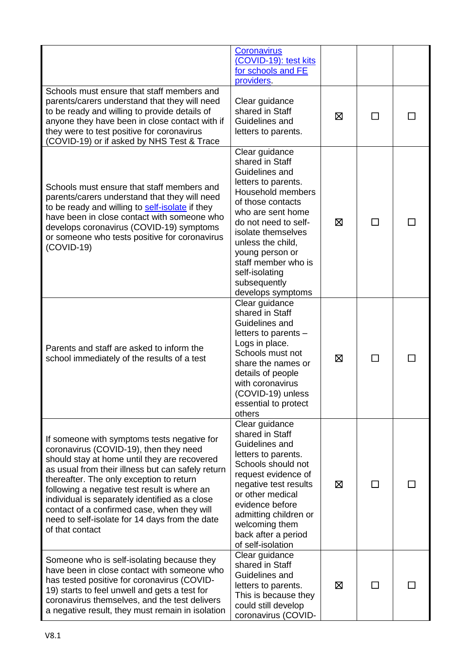|                                                                                                                                                                                                                                                                                                                                                                                                                                                              | Coronavirus<br>(COVID-19): test kits<br>for schools and FE<br>providers.                                                                                                                                                                                                                                      |   |              |  |
|--------------------------------------------------------------------------------------------------------------------------------------------------------------------------------------------------------------------------------------------------------------------------------------------------------------------------------------------------------------------------------------------------------------------------------------------------------------|---------------------------------------------------------------------------------------------------------------------------------------------------------------------------------------------------------------------------------------------------------------------------------------------------------------|---|--------------|--|
| Schools must ensure that staff members and<br>parents/carers understand that they will need<br>to be ready and willing to provide details of<br>anyone they have been in close contact with if<br>they were to test positive for coronavirus<br>(COVID-19) or if asked by NHS Test & Trace                                                                                                                                                                   | Clear guidance<br>shared in Staff<br>Guidelines and<br>letters to parents.                                                                                                                                                                                                                                    | ⊠ | $\mathsf{L}$ |  |
| Schools must ensure that staff members and<br>parents/carers understand that they will need<br>to be ready and willing to self-isolate if they<br>have been in close contact with someone who<br>develops coronavirus (COVID-19) symptoms<br>or someone who tests positive for coronavirus<br>$(COVID-19)$                                                                                                                                                   | Clear guidance<br>shared in Staff<br>Guidelines and<br>letters to parents.<br>Household members<br>of those contacts<br>who are sent home<br>do not need to self-<br>isolate themselves<br>unless the child,<br>young person or<br>staff member who is<br>self-isolating<br>subsequently<br>develops symptoms | ⊠ | П            |  |
| Parents and staff are asked to inform the<br>school immediately of the results of a test                                                                                                                                                                                                                                                                                                                                                                     | Clear guidance<br>shared in Staff<br>Guidelines and<br>letters to parents -<br>Logs in place.<br>Schools must not<br>share the names or<br>details of people<br>with coronavirus<br>(COVID-19) unless<br>essential to protect<br>others                                                                       | ⊠ |              |  |
| If someone with symptoms tests negative for<br>coronavirus (COVID-19), then they need<br>should stay at home until they are recovered<br>as usual from their illness but can safely return<br>thereafter. The only exception to return<br>following a negative test result is where an<br>individual is separately identified as a close<br>contact of a confirmed case, when they will<br>need to self-isolate for 14 days from the date<br>of that contact | Clear guidance<br>shared in Staff<br>Guidelines and<br>letters to parents.<br>Schools should not<br>request evidence of<br>negative test results<br>or other medical<br>evidence before<br>admitting children or<br>welcoming them<br>back after a period<br>of self-isolation                                | ⊠ | ΙI           |  |
| Someone who is self-isolating because they<br>have been in close contact with someone who<br>has tested positive for coronavirus (COVID-<br>19) starts to feel unwell and gets a test for<br>coronavirus themselves, and the test delivers<br>a negative result, they must remain in isolation                                                                                                                                                               | Clear guidance<br>shared in Staff<br>Guidelines and<br>letters to parents.<br>This is because they<br>could still develop<br>coronavirus (COVID-                                                                                                                                                              | ⊠ | П            |  |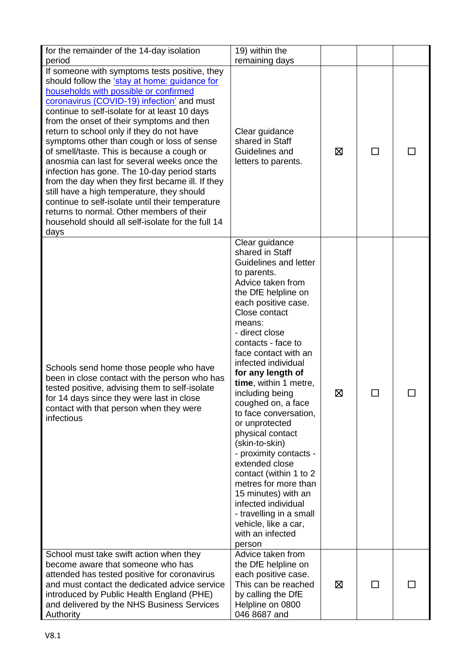| for the remainder of the 14-day isolation<br>period                                                                                                                                                                                                                                                                                                                                                                                                                                                                                                                                                                                                                                                                                                                                         | 19) within the<br>remaining days                                                                                                                                                                                                                                                                                                                                                                                                                                                                                                                                                                                                                                    |   |               |  |
|---------------------------------------------------------------------------------------------------------------------------------------------------------------------------------------------------------------------------------------------------------------------------------------------------------------------------------------------------------------------------------------------------------------------------------------------------------------------------------------------------------------------------------------------------------------------------------------------------------------------------------------------------------------------------------------------------------------------------------------------------------------------------------------------|---------------------------------------------------------------------------------------------------------------------------------------------------------------------------------------------------------------------------------------------------------------------------------------------------------------------------------------------------------------------------------------------------------------------------------------------------------------------------------------------------------------------------------------------------------------------------------------------------------------------------------------------------------------------|---|---------------|--|
| If someone with symptoms tests positive, they<br>should follow the 'stay at home: guidance for<br>households with possible or confirmed<br>coronavirus (COVID-19) infection' and must<br>continue to self-isolate for at least 10 days<br>from the onset of their symptoms and then<br>return to school only if they do not have<br>symptoms other than cough or loss of sense<br>of smell/taste. This is because a cough or<br>anosmia can last for several weeks once the<br>infection has gone. The 10-day period starts<br>from the day when they first became ill. If they<br>still have a high temperature, they should<br>continue to self-isolate until their temperature<br>returns to normal. Other members of their<br>household should all self-isolate for the full 14<br>days | Clear guidance<br>shared in Staff<br>Guidelines and<br>letters to parents.                                                                                                                                                                                                                                                                                                                                                                                                                                                                                                                                                                                          | ⊠ | <b>Talent</b> |  |
| Schools send home those people who have<br>been in close contact with the person who has<br>tested positive, advising them to self-isolate<br>for 14 days since they were last in close<br>contact with that person when they were<br>infectious                                                                                                                                                                                                                                                                                                                                                                                                                                                                                                                                            | Clear guidance<br>shared in Staff<br>Guidelines and letter<br>to parents.<br>Advice taken from<br>the DfE helpline on<br>each positive case.<br>Close contact<br>means:<br>- direct close<br>contacts - face to<br>face contact with an<br>infected individual<br>for any length of<br>time, within 1 metre,<br>including being<br>coughed on, a face<br>to face conversation,<br>or unprotected<br>physical contact<br>(skin-to-skin)<br>- proximity contacts -<br>extended close<br>contact (within 1 to 2<br>metres for more than<br>15 minutes) with an<br>infected individual<br>- travelling in a small<br>vehicle, like a car,<br>with an infected<br>person | ⊠ |               |  |
| School must take swift action when they<br>become aware that someone who has<br>attended has tested positive for coronavirus<br>and must contact the dedicated advice service<br>introduced by Public Health England (PHE)<br>and delivered by the NHS Business Services<br>Authority                                                                                                                                                                                                                                                                                                                                                                                                                                                                                                       | Advice taken from<br>the DfE helpline on<br>each positive case.<br>This can be reached<br>by calling the DfE<br>Helpline on 0800<br>046 8687 and                                                                                                                                                                                                                                                                                                                                                                                                                                                                                                                    | ⊠ | П             |  |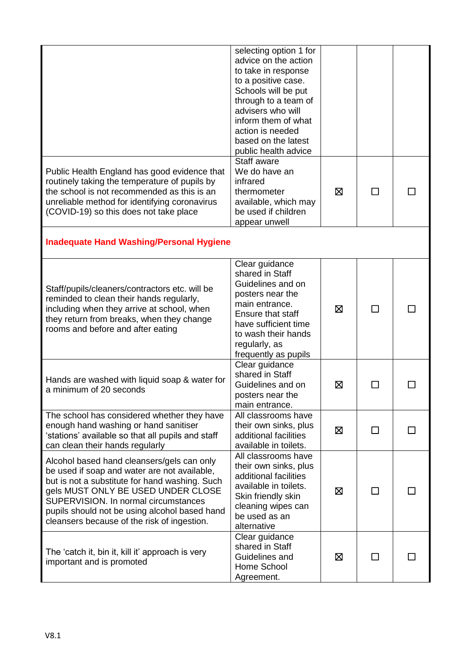|                                                                                                                                                                                                                                                                                                                            | selecting option 1 for<br>advice on the action<br>to take in response<br>to a positive case.<br>Schools will be put<br>through to a team of<br>advisers who will<br>inform them of what<br>action is needed<br>based on the latest<br>public health advice |   |    |  |
|----------------------------------------------------------------------------------------------------------------------------------------------------------------------------------------------------------------------------------------------------------------------------------------------------------------------------|------------------------------------------------------------------------------------------------------------------------------------------------------------------------------------------------------------------------------------------------------------|---|----|--|
| Public Health England has good evidence that<br>routinely taking the temperature of pupils by<br>the school is not recommended as this is an<br>unreliable method for identifying coronavirus<br>(COVID-19) so this does not take place                                                                                    | Staff aware<br>We do have an<br>infrared<br>thermometer<br>available, which may<br>be used if children<br>appear unwell                                                                                                                                    | ⊠ | ΙI |  |
| <b>Inadequate Hand Washing/Personal Hygiene</b>                                                                                                                                                                                                                                                                            |                                                                                                                                                                                                                                                            |   |    |  |
| Staff/pupils/cleaners/contractors etc. will be<br>reminded to clean their hands regularly,<br>including when they arrive at school, when<br>they return from breaks, when they change<br>rooms and before and after eating                                                                                                 | Clear guidance<br>shared in Staff<br>Guidelines and on<br>posters near the<br>main entrance.<br>Ensure that staff<br>have sufficient time<br>to wash their hands<br>regularly, as<br>frequently as pupils                                                  | ⊠ |    |  |
| Hands are washed with liquid soap & water for<br>a minimum of 20 seconds                                                                                                                                                                                                                                                   | Clear guidance<br>shared in Staff<br>Guidelines and on<br>posters near the<br>main entrance.                                                                                                                                                               | ⊠ |    |  |
| The school has considered whether they have<br>enough hand washing or hand sanitiser<br>'stations' available so that all pupils and staff<br>can clean their hands regularly                                                                                                                                               | All classrooms have<br>their own sinks, plus<br>additional facilities<br>available in toilets.                                                                                                                                                             | ⊠ | ΙI |  |
| Alcohol based hand cleansers/gels can only<br>be used if soap and water are not available,<br>but is not a substitute for hand washing. Such<br>gels MUST ONLY BE USED UNDER CLOSE<br>SUPERVISION. In normal circumstances<br>pupils should not be using alcohol based hand<br>cleansers because of the risk of ingestion. | All classrooms have<br>their own sinks, plus<br>additional facilities<br>available in toilets.<br>Skin friendly skin<br>cleaning wipes can<br>be used as an<br>alternative                                                                                 | ⊠ | ΙI |  |
| The 'catch it, bin it, kill it' approach is very<br>important and is promoted                                                                                                                                                                                                                                              | Clear guidance<br>shared in Staff<br>Guidelines and<br>Home School<br>Agreement.                                                                                                                                                                           | ⊠ |    |  |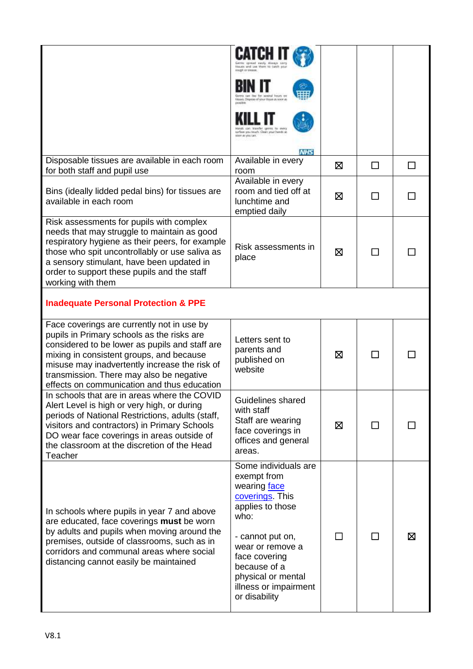| House's through and brow about                                                                                                                                                                                                              |                                  |               |   |
|---------------------------------------------------------------------------------------------------------------------------------------------------------------------------------------------------------------------------------------------|----------------------------------|---------------|---|
| weeld from a<br>It. Dispese of visar House JA speel at                                                                                                                                                                                      |                                  |               |   |
| sirbo you touch. Cean your hands at<br>Yes boy is room.                                                                                                                                                                                     |                                  |               |   |
|                                                                                                                                                                                                                                             |                                  |               |   |
| Available in every<br>room                                                                                                                                                                                                                  | ⊠                                | П             |   |
| room and tied off at<br>lunchtime and<br>emptied daily                                                                                                                                                                                      | ⊠                                | $\mathcal{L}$ |   |
| Risk assessments in<br>place                                                                                                                                                                                                                | ⊠                                |               |   |
|                                                                                                                                                                                                                                             |                                  |               |   |
| Letters sent to<br>parents and<br>published on<br>website                                                                                                                                                                                   | ⊠                                | П             |   |
| Guidelines shared<br>with staff<br>Staff are wearing<br>face coverings in<br>offices and general<br>areas.                                                                                                                                  | ⊠                                | ΙI            |   |
| Some individuals are<br>exempt from<br>wearing face<br>coverings. This<br>applies to those<br>who:<br>- cannot put on,<br>wear or remove a<br>face covering<br>because of a<br>physical or mental<br>illness or impairment<br>or disability |                                  |               | ⊠ |
|                                                                                                                                                                                                                                             | <b>NHS</b><br>Available in every |               |   |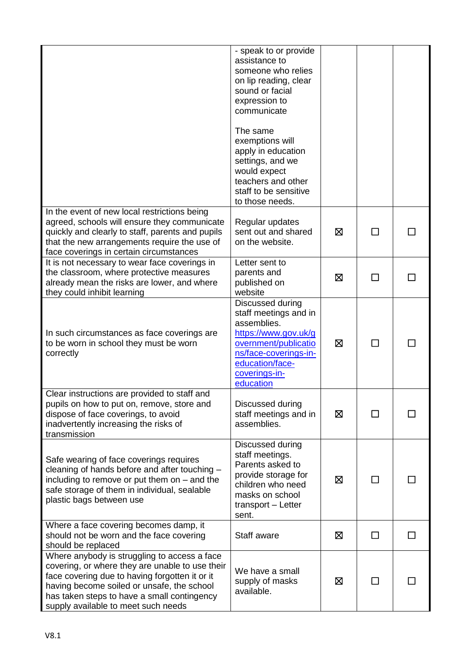|                                                                                                                                                                                                                                                                                       | - speak to or provide<br>assistance to<br>someone who relies<br>on lip reading, clear<br>sound or facial<br>expression to<br>communicate<br>The same<br>exemptions will<br>apply in education<br>settings, and we<br>would expect<br>teachers and other<br>staff to be sensitive |   |              |  |
|---------------------------------------------------------------------------------------------------------------------------------------------------------------------------------------------------------------------------------------------------------------------------------------|----------------------------------------------------------------------------------------------------------------------------------------------------------------------------------------------------------------------------------------------------------------------------------|---|--------------|--|
| In the event of new local restrictions being<br>agreed, schools will ensure they communicate<br>quickly and clearly to staff, parents and pupils<br>that the new arrangements require the use of<br>face coverings in certain circumstances                                           | to those needs.<br>Regular updates<br>sent out and shared<br>on the website.                                                                                                                                                                                                     | ⊠ | $\mathbf{L}$ |  |
| It is not necessary to wear face coverings in<br>the classroom, where protective measures<br>already mean the risks are lower, and where<br>they could inhibit learning                                                                                                               | Letter sent to<br>parents and<br>published on<br>website                                                                                                                                                                                                                         | ⊠ | П            |  |
| In such circumstances as face coverings are<br>to be worn in school they must be worn<br>correctly                                                                                                                                                                                    | Discussed during<br>staff meetings and in<br>assemblies.<br>https://www.gov.uk/g<br>overnment/publicatio<br>ns/face-coverings-in-<br>education/face-<br>coverings-in-<br>education                                                                                               | ⊠ | $\mathsf{L}$ |  |
| Clear instructions are provided to staff and<br>pupils on how to put on, remove, store and<br>dispose of face coverings, to avoid<br>inadvertently increasing the risks of<br>transmission                                                                                            | Discussed during<br>staff meetings and in<br>assemblies.                                                                                                                                                                                                                         | ⊠ | П            |  |
| Safe wearing of face coverings requires<br>cleaning of hands before and after touching -<br>including to remove or put them on $-$ and the<br>safe storage of them in individual, sealable<br>plastic bags between use                                                                | Discussed during<br>staff meetings.<br>Parents asked to<br>provide storage for<br>children who need<br>masks on school<br>transport - Letter<br>sent.                                                                                                                            | ⊠ | $\Box$       |  |
| Where a face covering becomes damp, it<br>should not be worn and the face covering<br>should be replaced                                                                                                                                                                              | Staff aware                                                                                                                                                                                                                                                                      | ⊠ | $\Box$       |  |
| Where anybody is struggling to access a face<br>covering, or where they are unable to use their<br>face covering due to having forgotten it or it<br>having become soiled or unsafe, the school<br>has taken steps to have a small contingency<br>supply available to meet such needs | We have a small<br>supply of masks<br>available.                                                                                                                                                                                                                                 | ⊠ | ΙI           |  |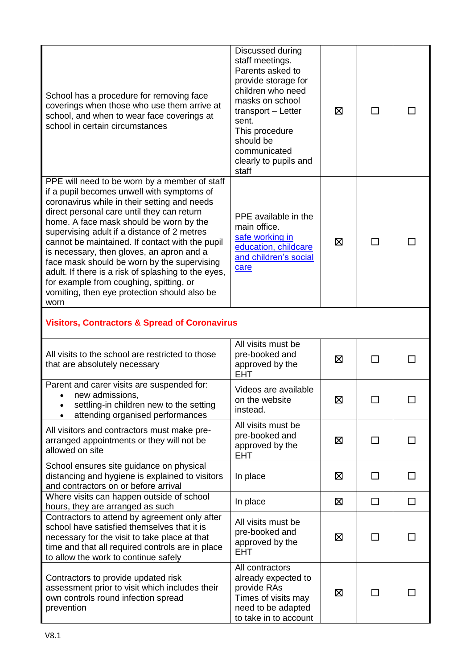| School has a procedure for removing face<br>coverings when those who use them arrive at<br>school, and when to wear face coverings at<br>school in certain circumstances                                                                                                                                                                                                                                                                                                                                                                                                                     | Discussed during<br>staff meetings.<br>Parents asked to<br>provide storage for<br>children who need<br>masks on school<br>transport - Letter<br>sent.<br>This procedure<br>should be<br>communicated<br>clearly to pupils and<br>staff | ⊠ | ΙI |   |
|----------------------------------------------------------------------------------------------------------------------------------------------------------------------------------------------------------------------------------------------------------------------------------------------------------------------------------------------------------------------------------------------------------------------------------------------------------------------------------------------------------------------------------------------------------------------------------------------|----------------------------------------------------------------------------------------------------------------------------------------------------------------------------------------------------------------------------------------|---|----|---|
| PPE will need to be worn by a member of staff<br>if a pupil becomes unwell with symptoms of<br>coronavirus while in their setting and needs<br>direct personal care until they can return<br>home. A face mask should be worn by the<br>supervising adult if a distance of 2 metres<br>cannot be maintained. If contact with the pupil<br>is necessary, then gloves, an apron and a<br>face mask should be worn by the supervising<br>adult. If there is a risk of splashing to the eyes,<br>for example from coughing, spitting, or<br>vomiting, then eye protection should also be<br>worn | PPE available in the<br>main office.<br>safe working in<br>education, childcare<br>and children's social<br>care                                                                                                                       | ⊠ | П  |   |
| <b>Visitors, Contractors &amp; Spread of Coronavirus</b>                                                                                                                                                                                                                                                                                                                                                                                                                                                                                                                                     |                                                                                                                                                                                                                                        |   |    |   |
| All visits to the school are restricted to those<br>that are absolutely necessary                                                                                                                                                                                                                                                                                                                                                                                                                                                                                                            | All visits must be<br>pre-booked and<br>approved by the<br><b>EHT</b>                                                                                                                                                                  | ⊠ | ΙI |   |
| Parent and carer visits are suspended for:<br>new admissions,<br>$\bullet$<br>settling-in children new to the setting<br>attending organised performances                                                                                                                                                                                                                                                                                                                                                                                                                                    | Videos are available<br>on the website<br>instead.                                                                                                                                                                                     | 区 |    |   |
| All visitors and contractors must make pre-<br>arranged appointments or they will not be<br>allowed on site                                                                                                                                                                                                                                                                                                                                                                                                                                                                                  | All visits must be<br>pre-booked and<br>approved by the<br><b>EHT</b>                                                                                                                                                                  | ⊠ | П  |   |
| School ensures site guidance on physical<br>distancing and hygiene is explained to visitors<br>and contractors on or before arrival                                                                                                                                                                                                                                                                                                                                                                                                                                                          | In place                                                                                                                                                                                                                               | ⊠ | П  | П |
| Where visits can happen outside of school<br>hours, they are arranged as such                                                                                                                                                                                                                                                                                                                                                                                                                                                                                                                | In place                                                                                                                                                                                                                               | ⊠ | □  | □ |
| Contractors to attend by agreement only after<br>school have satisfied themselves that it is<br>necessary for the visit to take place at that<br>time and that all required controls are in place<br>to allow the work to continue safely                                                                                                                                                                                                                                                                                                                                                    | All visits must be<br>pre-booked and<br>approved by the<br><b>EHT</b>                                                                                                                                                                  | ⊠ | □  | П |
| Contractors to provide updated risk<br>assessment prior to visit which includes their<br>own controls round infection spread<br>prevention                                                                                                                                                                                                                                                                                                                                                                                                                                                   | All contractors<br>already expected to<br>provide RAs<br>Times of visits may<br>need to be adapted<br>to take in to account                                                                                                            | ⊠ | ΙI |   |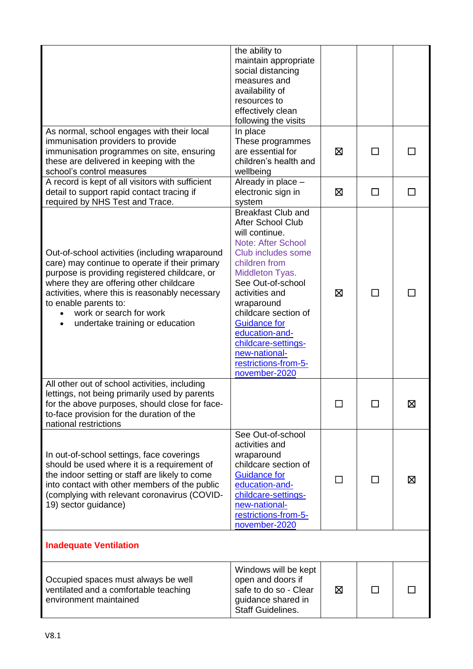|                                                                                                                                                                                                                                                                                                                                                    | the ability to<br>maintain appropriate<br>social distancing<br>measures and<br>availability of<br>resources to<br>effectively clean<br>following the visits                                                                                                                                                                                                           |   |        |   |
|----------------------------------------------------------------------------------------------------------------------------------------------------------------------------------------------------------------------------------------------------------------------------------------------------------------------------------------------------|-----------------------------------------------------------------------------------------------------------------------------------------------------------------------------------------------------------------------------------------------------------------------------------------------------------------------------------------------------------------------|---|--------|---|
| As normal, school engages with their local<br>immunisation providers to provide<br>immunisation programmes on site, ensuring<br>these are delivered in keeping with the<br>school's control measures                                                                                                                                               | In place<br>These programmes<br>are essential for<br>children's health and<br>wellbeing                                                                                                                                                                                                                                                                               | ⊠ | $\Box$ |   |
| A record is kept of all visitors with sufficient<br>detail to support rapid contact tracing if<br>required by NHS Test and Trace.                                                                                                                                                                                                                  | Already in place -<br>electronic sign in<br>system                                                                                                                                                                                                                                                                                                                    | ⊠ | П      | П |
| Out-of-school activities (including wraparound<br>care) may continue to operate if their primary<br>purpose is providing registered childcare, or<br>where they are offering other childcare<br>activities, where this is reasonably necessary<br>to enable parents to:<br>work or search for work<br>$\bullet$<br>undertake training or education | <b>Breakfast Club and</b><br><b>After School Club</b><br>will continue.<br><b>Note: After School</b><br>Club includes some<br>children from<br>Middleton Tyas.<br>See Out-of-school<br>activities and<br>wraparound<br>childcare section of<br><b>Guidance for</b><br>education-and-<br>childcare-settings-<br>new-national-<br>restrictions-from-5-<br>november-2020 | ⊠ | $\Box$ |   |
| All other out of school activities, including<br>lettings, not being primarily used by parents<br>for the above purposes, should close for face-<br>to-face provision for the duration of the<br>national restrictions                                                                                                                             |                                                                                                                                                                                                                                                                                                                                                                       |   |        | ⊠ |
| In out-of-school settings, face coverings<br>should be used where it is a requirement of<br>the indoor setting or staff are likely to come<br>into contact with other members of the public<br>(complying with relevant coronavirus (COVID-<br>19) sector guidance)                                                                                | See Out-of-school<br>activities and<br>wraparound<br>childcare section of<br><b>Guidance for</b><br>education-and-<br>childcare-settings-<br>new-national-<br>restrictions-from-5-<br>november-2020                                                                                                                                                                   |   |        | Σ |
| <b>Inadequate Ventilation</b>                                                                                                                                                                                                                                                                                                                      |                                                                                                                                                                                                                                                                                                                                                                       |   |        |   |
| Occupied spaces must always be well<br>ventilated and a comfortable teaching<br>environment maintained                                                                                                                                                                                                                                             | Windows will be kept<br>open and doors if<br>safe to do so - Clear<br>guidance shared in<br><b>Staff Guidelines.</b>                                                                                                                                                                                                                                                  | ⊠ |        |   |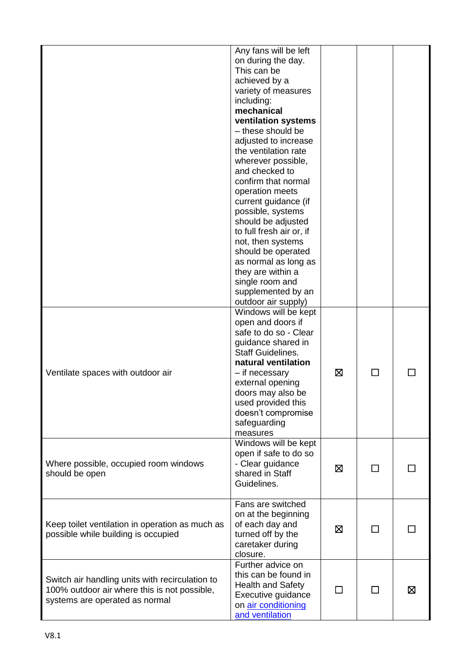|                                                                                                                                   | Any fans will be left<br>on during the day.<br>This can be<br>achieved by a<br>variety of measures<br>including:<br>mechanical<br>ventilation systems<br>- these should be<br>adjusted to increase<br>the ventilation rate<br>wherever possible,<br>and checked to<br>confirm that normal<br>operation meets<br>current guidance (if<br>possible, systems<br>should be adjusted<br>to full fresh air or, if<br>not, then systems<br>should be operated<br>as normal as long as<br>they are within a<br>single room and<br>supplemented by an<br>outdoor air supply) |   |    |   |
|-----------------------------------------------------------------------------------------------------------------------------------|---------------------------------------------------------------------------------------------------------------------------------------------------------------------------------------------------------------------------------------------------------------------------------------------------------------------------------------------------------------------------------------------------------------------------------------------------------------------------------------------------------------------------------------------------------------------|---|----|---|
| Ventilate spaces with outdoor air                                                                                                 | Windows will be kept<br>open and doors if<br>safe to do so - Clear<br>guidance shared in<br><b>Staff Guidelines.</b><br>natural ventilation<br>- if necessary<br>external opening<br>doors may also be<br>used provided this<br>doesn't compromise<br>safeguarding<br>measures                                                                                                                                                                                                                                                                                      | ⊠ |    |   |
| Where possible, occupied room windows<br>should be open                                                                           | Windows will be kept<br>open if safe to do so<br>- Clear guidance<br>shared in Staff<br>Guidelines.                                                                                                                                                                                                                                                                                                                                                                                                                                                                 | ⊠ |    |   |
| Keep toilet ventilation in operation as much as<br>possible while building is occupied                                            | Fans are switched<br>on at the beginning<br>of each day and<br>turned off by the<br>caretaker during<br>closure.                                                                                                                                                                                                                                                                                                                                                                                                                                                    | ⊠ |    |   |
| Switch air handling units with recirculation to<br>100% outdoor air where this is not possible,<br>systems are operated as normal | Further advice on<br>this can be found in<br><b>Health and Safety</b><br>Executive guidance<br>on air conditioning<br>and ventilation                                                                                                                                                                                                                                                                                                                                                                                                                               | П | ΙI | ⊠ |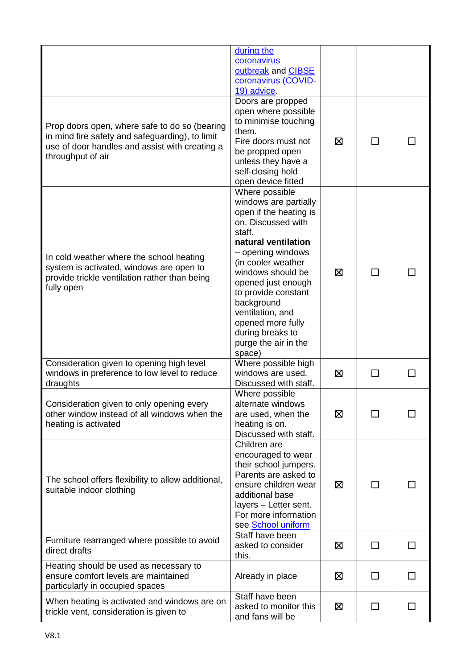|                                                                                                                                                                         | during the<br>coronavirus<br>outbreak and CIBSE<br>coronavirus (COVID-<br>19) advice.                                                                                                                                                                                                                                                              |   |        |              |
|-------------------------------------------------------------------------------------------------------------------------------------------------------------------------|----------------------------------------------------------------------------------------------------------------------------------------------------------------------------------------------------------------------------------------------------------------------------------------------------------------------------------------------------|---|--------|--------------|
| Prop doors open, where safe to do so (bearing<br>in mind fire safety and safeguarding), to limit<br>use of door handles and assist with creating a<br>throughput of air | Doors are propped<br>open where possible<br>to minimise touching<br>them.<br>Fire doors must not<br>be propped open<br>unless they have a<br>self-closing hold<br>open device fitted                                                                                                                                                               | ⊠ | П      |              |
| In cold weather where the school heating<br>system is activated, windows are open to<br>provide trickle ventilation rather than being<br>fully open                     | Where possible<br>windows are partially<br>open if the heating is<br>on. Discussed with<br>staff.<br>natural ventilation<br>- opening windows<br>(in cooler weather<br>windows should be<br>opened just enough<br>to provide constant<br>background<br>ventilation, and<br>opened more fully<br>during breaks to<br>purge the air in the<br>space) | ⊠ | $\Box$ |              |
| Consideration given to opening high level<br>windows in preference to low level to reduce<br>draughts                                                                   | Where possible high<br>windows are used.<br>Discussed with staff.                                                                                                                                                                                                                                                                                  | ⊠ | П      |              |
| Consideration given to only opening every<br>other window instead of all windows when the<br>heating is activated                                                       | Where possible<br>alternate windows<br>are used, when the<br>heating is on.<br>Discussed with staff.                                                                                                                                                                                                                                               | ⊠ | П      |              |
| The school offers flexibility to allow additional,<br>suitable indoor clothing                                                                                          | Children are<br>encouraged to wear<br>their school jumpers.<br>Parents are asked to<br>ensure children wear<br>additional base<br>layers - Letter sent.<br>For more information<br>see School uniform                                                                                                                                              | ⊠ | П      |              |
| Furniture rearranged where possible to avoid<br>direct drafts                                                                                                           | Staff have been<br>asked to consider<br>this.                                                                                                                                                                                                                                                                                                      | ⊠ | П      | $\mathsf{L}$ |
| Heating should be used as necessary to<br>ensure comfort levels are maintained<br>particularly in occupied spaces                                                       | Already in place                                                                                                                                                                                                                                                                                                                                   | ⊠ | П      | $\mathsf{L}$ |
| When heating is activated and windows are on<br>trickle vent, consideration is given to                                                                                 | Staff have been<br>asked to monitor this<br>and fans will be                                                                                                                                                                                                                                                                                       | Ø | ΙI     |              |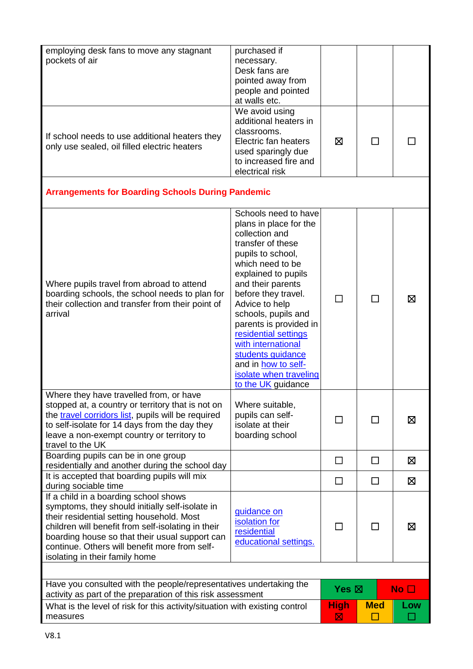| employing desk fans to move any stagnant<br>pockets of air                                                                                                                                                                                                                                                                       | purchased if<br>necessary.<br>Desk fans are<br>pointed away from<br>people and pointed<br>at walls etc.                                                                                                                                                                                                                                                                                                        |                  |                      |              |
|----------------------------------------------------------------------------------------------------------------------------------------------------------------------------------------------------------------------------------------------------------------------------------------------------------------------------------|----------------------------------------------------------------------------------------------------------------------------------------------------------------------------------------------------------------------------------------------------------------------------------------------------------------------------------------------------------------------------------------------------------------|------------------|----------------------|--------------|
| If school needs to use additional heaters they<br>only use sealed, oil filled electric heaters                                                                                                                                                                                                                                   | We avoid using<br>additional heaters in<br>classrooms.<br>Electric fan heaters<br>used sparingly due<br>to increased fire and<br>electrical risk                                                                                                                                                                                                                                                               | ⊠                | $\Box$               |              |
| <b>Arrangements for Boarding Schools During Pandemic</b>                                                                                                                                                                                                                                                                         |                                                                                                                                                                                                                                                                                                                                                                                                                |                  |                      |              |
| Where pupils travel from abroad to attend<br>boarding schools, the school needs to plan for<br>their collection and transfer from their point of<br>arrival                                                                                                                                                                      | Schools need to have<br>plans in place for the<br>collection and<br>transfer of these<br>pupils to school,<br>which need to be<br>explained to pupils<br>and their parents<br>before they travel.<br>Advice to help<br>schools, pupils and<br>parents is provided in<br>residential settings<br>with international<br>students guidance<br>and in how to self-<br>isolate when traveling<br>to the UK guidance |                  | □                    | Χ            |
| Where they have travelled from, or have<br>stopped at, a country or territory that is not on<br>the travel corridors list, pupils will be required<br>to self-isolate for 14 days from the day they<br>leave a non-exempt country or territory to<br>travel to the UK                                                            | Where suitable,<br>pupils can self-<br>isolate at their<br>boarding school                                                                                                                                                                                                                                                                                                                                     |                  | $\Box$               | ⊠            |
| Boarding pupils can be in one group<br>residentially and another during the school day                                                                                                                                                                                                                                           |                                                                                                                                                                                                                                                                                                                                                                                                                | □                | □                    | 区            |
| It is accepted that boarding pupils will mix<br>during sociable time                                                                                                                                                                                                                                                             |                                                                                                                                                                                                                                                                                                                                                                                                                | $\perp$          | $\Box$               | 区            |
| If a child in a boarding school shows<br>symptoms, they should initially self-isolate in<br>their residential setting household. Most<br>children will benefit from self-isolating in their<br>boarding house so that their usual support can<br>continue. Others will benefit more from self-<br>isolating in their family home | quidance on<br>isolation for<br>residential<br>educational settings.                                                                                                                                                                                                                                                                                                                                           | $\mathsf{L}$     | П                    | ⊠            |
| Have you consulted with the people/representatives undertaking the                                                                                                                                                                                                                                                               |                                                                                                                                                                                                                                                                                                                                                                                                                | Yes $\boxtimes$  |                      | No $\square$ |
| activity as part of the preparation of this risk assessment<br>What is the level of risk for this activity/situation with existing control<br>measures                                                                                                                                                                           |                                                                                                                                                                                                                                                                                                                                                                                                                | <b>High</b><br>区 | <b>Med</b><br>$\Box$ | Low          |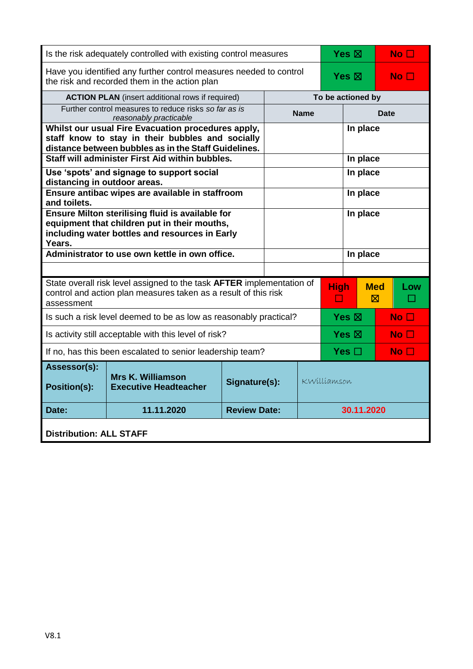| Is the risk adequately controlled with existing control measures                                                                                             |                                                                                                                                                                |                     |          |                   | Yes $\boxtimes$ |                 | No <sub>1</sub>           |                 |  |
|--------------------------------------------------------------------------------------------------------------------------------------------------------------|----------------------------------------------------------------------------------------------------------------------------------------------------------------|---------------------|----------|-------------------|-----------------|-----------------|---------------------------|-----------------|--|
| Have you identified any further control measures needed to control<br>the risk and recorded them in the action plan                                          |                                                                                                                                                                |                     |          |                   | Yes $\boxtimes$ |                 |                           | No <sub>1</sub> |  |
| <b>ACTION PLAN</b> (insert additional rows if required)                                                                                                      |                                                                                                                                                                |                     |          | To be actioned by |                 |                 |                           |                 |  |
| Further control measures to reduce risks so far as is<br>reasonably practicable                                                                              |                                                                                                                                                                |                     |          | <b>Name</b>       |                 |                 | <b>Date</b>               |                 |  |
|                                                                                                                                                              | Whilst our usual Fire Evacuation procedures apply,<br>staff know to stay in their bubbles and socially<br>distance between bubbles as in the Staff Guidelines. |                     |          |                   |                 | In place        |                           |                 |  |
|                                                                                                                                                              | Staff will administer First Aid within bubbles.                                                                                                                |                     | In place |                   |                 |                 |                           |                 |  |
| distancing in outdoor areas.                                                                                                                                 | Use 'spots' and signage to support social                                                                                                                      |                     | In place |                   |                 |                 |                           |                 |  |
| and toilets.                                                                                                                                                 | Ensure antibac wipes are available in staffroom                                                                                                                |                     | In place |                   |                 |                 |                           |                 |  |
| Ensure Milton sterilising fluid is available for<br>equipment that children put in their mouths,<br>including water bottles and resources in Early<br>Years. |                                                                                                                                                                |                     |          | In place          |                 |                 |                           |                 |  |
|                                                                                                                                                              | Administrator to use own kettle in own office.                                                                                                                 |                     | In place |                   |                 |                 |                           |                 |  |
|                                                                                                                                                              |                                                                                                                                                                |                     |          |                   |                 |                 |                           |                 |  |
| State overall risk level assigned to the task AFTER implementation of<br>control and action plan measures taken as a result of this risk<br>assessment       |                                                                                                                                                                |                     |          | <b>High</b><br>П  |                 |                 | <b>Med</b><br>$\boxtimes$ | Low             |  |
| Is such a risk level deemed to be as low as reasonably practical?                                                                                            |                                                                                                                                                                |                     |          | Yes $\boxtimes$   |                 | No <sub>1</sub> |                           |                 |  |
| Is activity still acceptable with this level of risk?                                                                                                        |                                                                                                                                                                |                     |          | Yes $\boxtimes$   |                 | No $\square$    |                           |                 |  |
| If no, has this been escalated to senior leadership team?                                                                                                    |                                                                                                                                                                |                     |          | Yes $\Box$        |                 |                 | No <sub>1</sub>           |                 |  |
| Assessor(s):<br><b>Position(s):</b>                                                                                                                          | <b>Mrs K. Williamson</b><br><b>Executive Headteacher</b>                                                                                                       | Signature(s):       |          | KWilliamson       |                 |                 |                           |                 |  |
| Date:                                                                                                                                                        | 11.11.2020                                                                                                                                                     | <b>Review Date:</b> |          |                   | 30.11.2020      |                 |                           |                 |  |
| <b>Distribution: ALL STAFF</b>                                                                                                                               |                                                                                                                                                                |                     |          |                   |                 |                 |                           |                 |  |